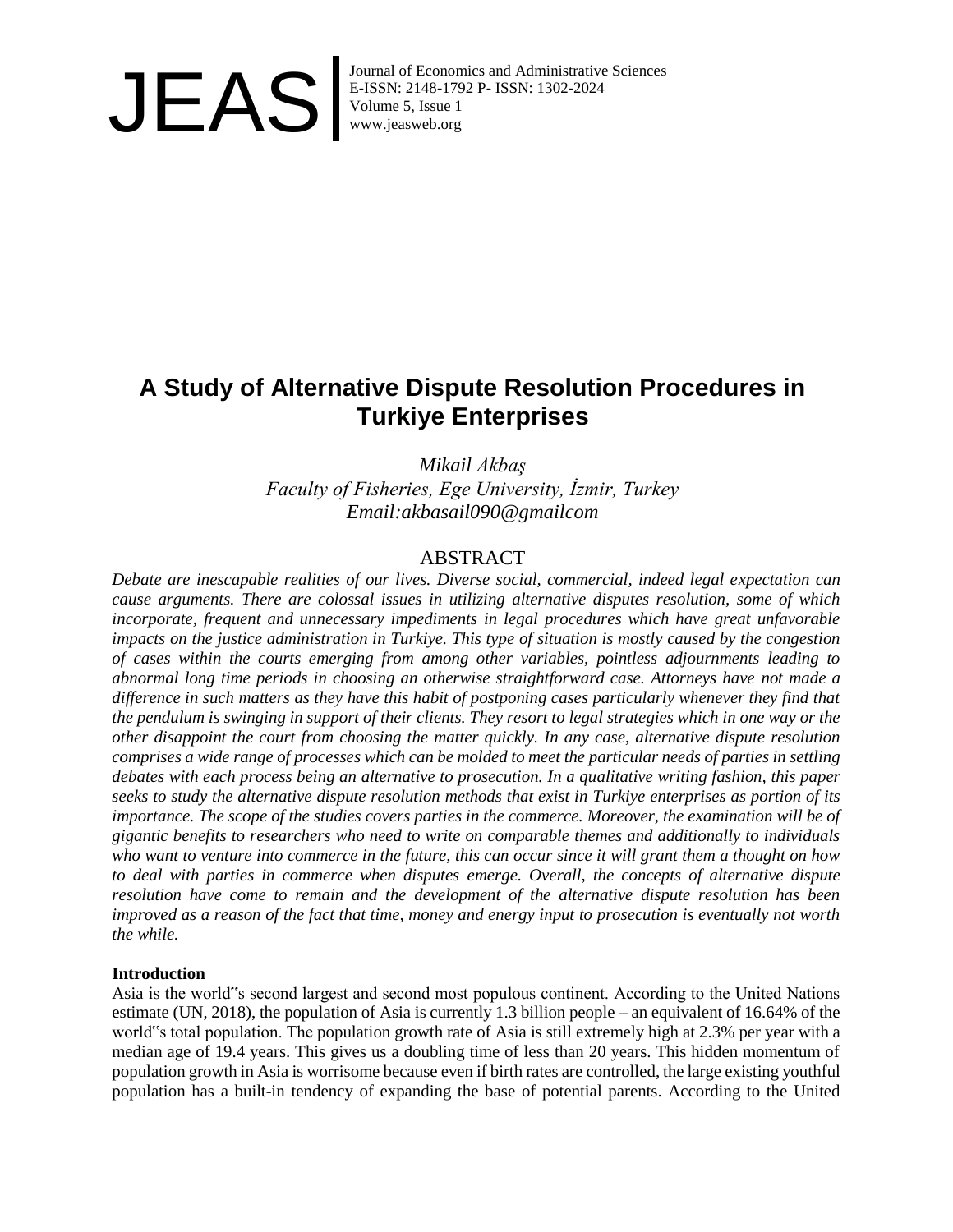

Journal of Economics and Administrative Sciences<br>E-ISSN: 2148-1792 P- ISSN: 1302-2024<br>Volume 5, Issue 1<br>www.jeasweb.org E-ISSN: 2148-1792 P- ISSN: 1302-2024 Volume 5, Issue 1 www.jeasweb.org

# **A Study of Alternative Dispute Resolution Procedures in Turkiye Enterprises**

*Mikail Akbaş Faculty of Fisheries, Ege University, İzmir, Turkey Email:akbasail090@gmailcom*

## ABSTRACT

*Debate are inescapable realities of our lives. Diverse social, commercial, indeed legal expectation can cause arguments. There are colossal issues in utilizing alternative disputes resolution, some of which incorporate, frequent and unnecessary impediments in legal procedures which have great unfavorable impacts on the justice administration in Turkiye. This type of situation is mostly caused by the congestion of cases within the courts emerging from among other variables, pointless adjournments leading to abnormal long time periods in choosing an otherwise straightforward case. Attorneys have not made a difference in such matters as they have this habit of postponing cases particularly whenever they find that the pendulum is swinging in support of their clients. They resort to legal strategies which in one way or the other disappoint the court from choosing the matter quickly. In any case, alternative dispute resolution comprises a wide range of processes which can be molded to meet the particular needs of parties in settling debates with each process being an alternative to prosecution. In a qualitative writing fashion, this paper seeks to study the alternative dispute resolution methods that exist in Turkiye enterprises as portion of its importance. The scope of the studies covers parties in the commerce. Moreover, the examination will be of gigantic benefits to researchers who need to write on comparable themes and additionally to individuals who want to venture into commerce in the future, this can occur since it will grant them a thought on how to deal with parties in commerce when disputes emerge. Overall, the concepts of alternative dispute resolution have come to remain and the development of the alternative dispute resolution has been improved as a reason of the fact that time, money and energy input to prosecution is eventually not worth the while.*

## **Introduction**

Asia is the world"s second largest and second most populous continent. According to the United Nations estimate (UN, 2018), the population of Asia is currently 1.3 billion people – an equivalent of 16.64% of the world"s total population. The population growth rate of Asia is still extremely high at 2.3% per year with a median age of 19.4 years. This gives us a doubling time of less than 20 years. This hidden momentum of population growth in Asia is worrisome because even if birth rates are controlled, the large existing youthful population has a built-in tendency of expanding the base of potential parents. According to the United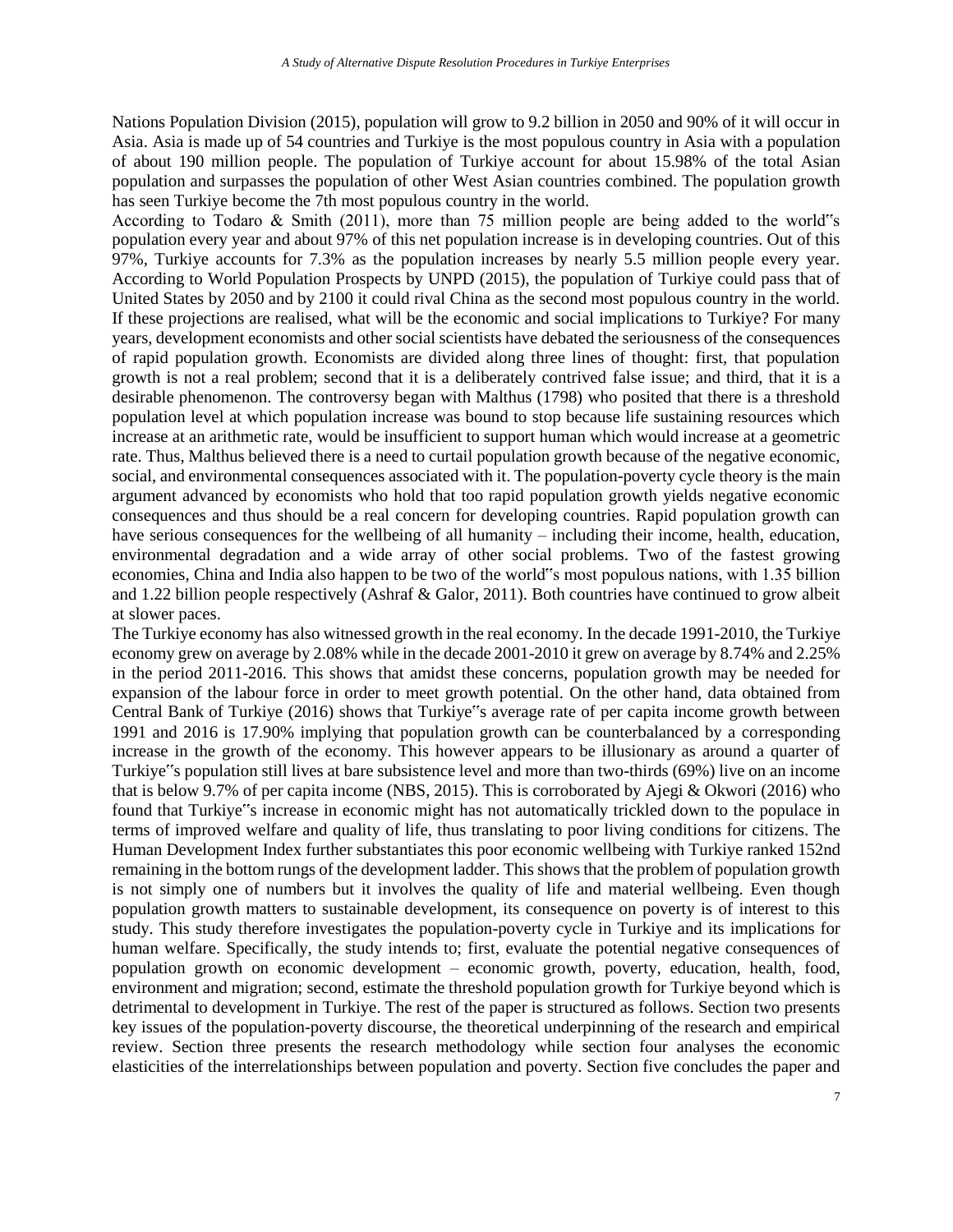Nations Population Division (2015), population will grow to 9.2 billion in 2050 and 90% of it will occur in Asia. Asia is made up of 54 countries and Turkiye is the most populous country in Asia with a population of about 190 million people. The population of Turkiye account for about 15.98% of the total Asian population and surpasses the population of other West Asian countries combined. The population growth has seen Turkiye become the 7th most populous country in the world.

According to Todaro & Smith (2011), more than 75 million people are being added to the world"s population every year and about 97% of this net population increase is in developing countries. Out of this 97%, Turkiye accounts for 7.3% as the population increases by nearly 5.5 million people every year. According to World Population Prospects by UNPD (2015), the population of Turkiye could pass that of United States by 2050 and by 2100 it could rival China as the second most populous country in the world. If these projections are realised, what will be the economic and social implications to Turkiye? For many years, development economists and other social scientists have debated the seriousness of the consequences of rapid population growth. Economists are divided along three lines of thought: first, that population growth is not a real problem; second that it is a deliberately contrived false issue; and third, that it is a desirable phenomenon. The controversy began with Malthus (1798) who posited that there is a threshold population level at which population increase was bound to stop because life sustaining resources which increase at an arithmetic rate, would be insufficient to support human which would increase at a geometric rate. Thus, Malthus believed there is a need to curtail population growth because of the negative economic, social, and environmental consequences associated with it. The population-poverty cycle theory is the main argument advanced by economists who hold that too rapid population growth yields negative economic consequences and thus should be a real concern for developing countries. Rapid population growth can have serious consequences for the wellbeing of all humanity – including their income, health, education, environmental degradation and a wide array of other social problems. Two of the fastest growing economies, China and India also happen to be two of the world"s most populous nations, with 1.35 billion and 1.22 billion people respectively (Ashraf & Galor, 2011). Both countries have continued to grow albeit at slower paces.

The Turkiye economy has also witnessed growth in the real economy. In the decade 1991-2010, the Turkiye economy grew on average by 2.08% while in the decade 2001-2010 it grew on average by 8.74% and 2.25% in the period 2011-2016. This shows that amidst these concerns, population growth may be needed for expansion of the labour force in order to meet growth potential. On the other hand, data obtained from Central Bank of Turkiye (2016) shows that Turkiye"s average rate of per capita income growth between 1991 and 2016 is 17.90% implying that population growth can be counterbalanced by a corresponding increase in the growth of the economy. This however appears to be illusionary as around a quarter of Turkiye"s population still lives at bare subsistence level and more than two-thirds (69%) live on an income that is below 9.7% of per capita income (NBS, 2015). This is corroborated by Ajegi & Okwori (2016) who found that Turkiye"s increase in economic might has not automatically trickled down to the populace in terms of improved welfare and quality of life, thus translating to poor living conditions for citizens. The Human Development Index further substantiates this poor economic wellbeing with Turkiye ranked 152nd remaining in the bottom rungs of the development ladder. This shows that the problem of population growth is not simply one of numbers but it involves the quality of life and material wellbeing. Even though population growth matters to sustainable development, its consequence on poverty is of interest to this study. This study therefore investigates the population-poverty cycle in Turkiye and its implications for human welfare. Specifically, the study intends to; first, evaluate the potential negative consequences of population growth on economic development – economic growth, poverty, education, health, food, environment and migration; second, estimate the threshold population growth for Turkiye beyond which is detrimental to development in Turkiye. The rest of the paper is structured as follows. Section two presents key issues of the population-poverty discourse, the theoretical underpinning of the research and empirical review. Section three presents the research methodology while section four analyses the economic elasticities of the interrelationships between population and poverty. Section five concludes the paper and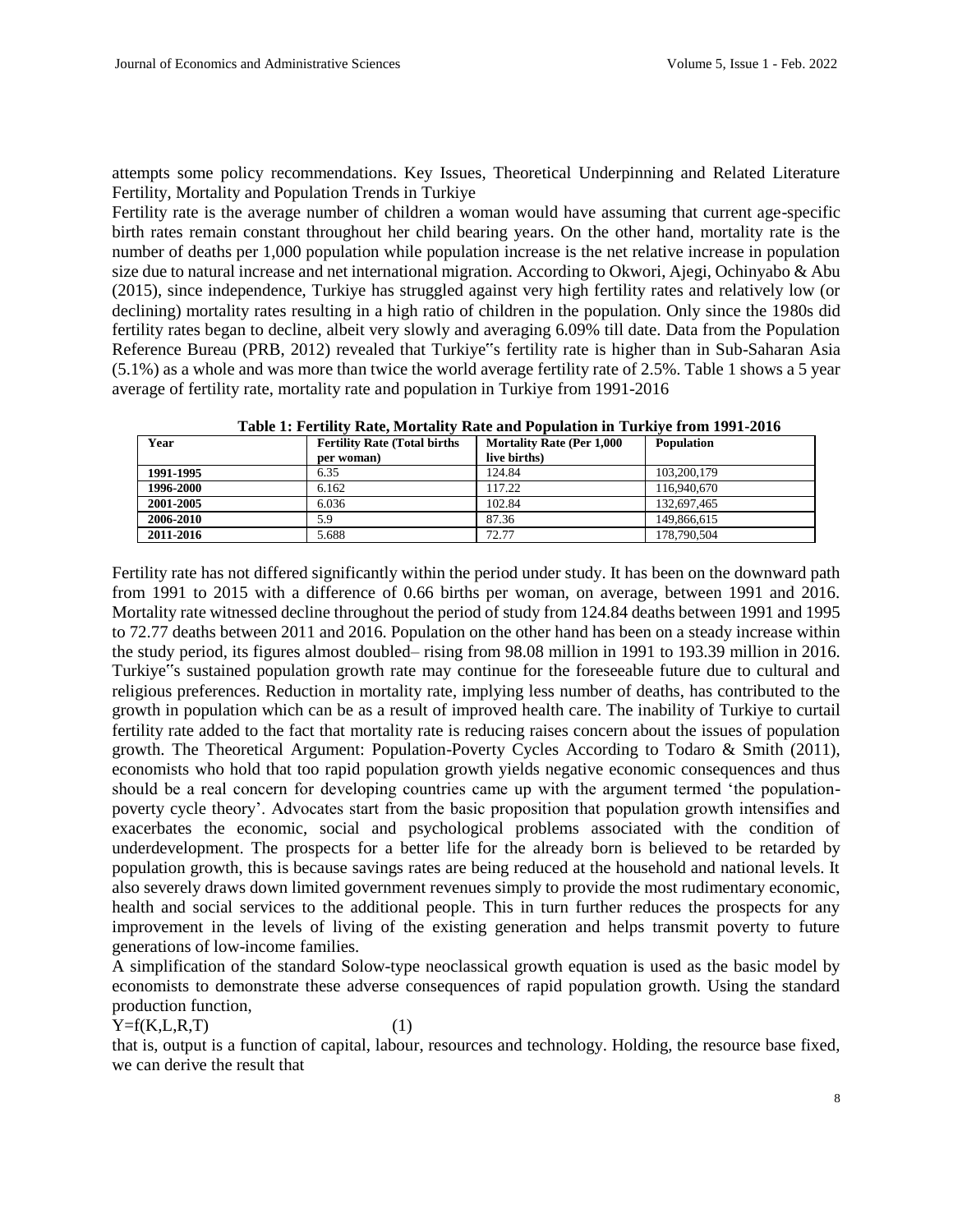attempts some policy recommendations. Key Issues, Theoretical Underpinning and Related Literature Fertility, Mortality and Population Trends in Turkiye

Fertility rate is the average number of children a woman would have assuming that current age-specific birth rates remain constant throughout her child bearing years. On the other hand, mortality rate is the number of deaths per 1,000 population while population increase is the net relative increase in population size due to natural increase and net international migration. According to Okwori, Ajegi, Ochinyabo & Abu (2015), since independence, Turkiye has struggled against very high fertility rates and relatively low (or declining) mortality rates resulting in a high ratio of children in the population. Only since the 1980s did fertility rates began to decline, albeit very slowly and averaging 6.09% till date. Data from the Population Reference Bureau (PRB, 2012) revealed that Turkiye"s fertility rate is higher than in Sub-Saharan Asia (5.1%) as a whole and was more than twice the world average fertility rate of 2.5%. Table 1 shows a 5 year average of fertility rate, mortality rate and population in Turkiye from 1991-2016

| Year      | <b>Fertility Rate (Total births)</b><br>per woman) | <b>Mortality Rate (Per 1,000)</b><br>live births) | <b>Population</b> |
|-----------|----------------------------------------------------|---------------------------------------------------|-------------------|
| 1991-1995 | 6.35                                               | 124.84                                            | 103,200,179       |
| 1996-2000 | 6.162                                              | 117.22                                            | 116,940,670       |
| 2001-2005 | 6.036                                              | 102.84                                            | 132,697,465       |
| 2006-2010 | 5.9                                                | 87.36                                             | 149,866,615       |
| 2011-2016 | 5.688                                              | 72.77                                             | 178,790,504       |

**Table 1: Fertility Rate, Mortality Rate and Population in Turkiye from 1991-2016**

Fertility rate has not differed significantly within the period under study. It has been on the downward path from 1991 to 2015 with a difference of 0.66 births per woman, on average, between 1991 and 2016. Mortality rate witnessed decline throughout the period of study from 124.84 deaths between 1991 and 1995 to 72.77 deaths between 2011 and 2016. Population on the other hand has been on a steady increase within the study period, its figures almost doubled– rising from 98.08 million in 1991 to 193.39 million in 2016. Turkiye"s sustained population growth rate may continue for the foreseeable future due to cultural and religious preferences. Reduction in mortality rate, implying less number of deaths, has contributed to the growth in population which can be as a result of improved health care. The inability of Turkiye to curtail fertility rate added to the fact that mortality rate is reducing raises concern about the issues of population growth. The Theoretical Argument: Population-Poverty Cycles According to Todaro & Smith (2011), economists who hold that too rapid population growth yields negative economic consequences and thus should be a real concern for developing countries came up with the argument termed 'the populationpoverty cycle theory'. Advocates start from the basic proposition that population growth intensifies and exacerbates the economic, social and psychological problems associated with the condition of underdevelopment. The prospects for a better life for the already born is believed to be retarded by population growth, this is because savings rates are being reduced at the household and national levels. It also severely draws down limited government revenues simply to provide the most rudimentary economic, health and social services to the additional people. This in turn further reduces the prospects for any improvement in the levels of living of the existing generation and helps transmit poverty to future generations of low-income families.

A simplification of the standard Solow-type neoclassical growth equation is used as the basic model by economists to demonstrate these adverse consequences of rapid population growth. Using the standard production function,

## $Y=f(K, L, R, T)$  (1)

that is, output is a function of capital, labour, resources and technology. Holding, the resource base fixed, we can derive the result that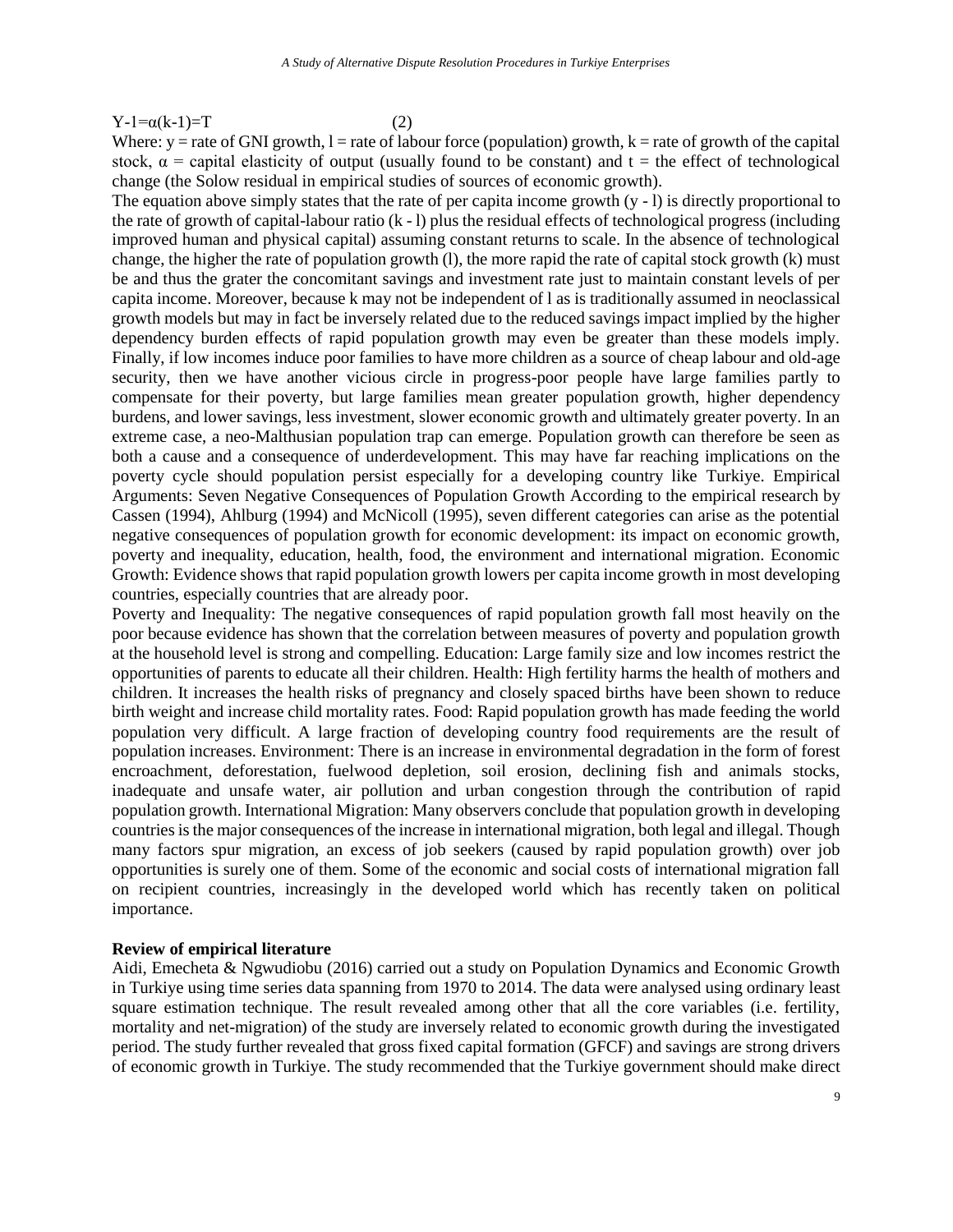#### $Y-1=\alpha(k-1)=T$  (2)

Where:  $y =$  rate of GNI growth,  $l =$  rate of labour force (population) growth,  $k =$  rate of growth of the capital stock,  $\alpha$  = capital elasticity of output (usually found to be constant) and t = the effect of technological change (the Solow residual in empirical studies of sources of economic growth).

The equation above simply states that the rate of per capita income growth  $(y - 1)$  is directly proportional to the rate of growth of capital-labour ratio  $(k - 1)$  plus the residual effects of technological progress (including improved human and physical capital) assuming constant returns to scale. In the absence of technological change, the higher the rate of population growth (l), the more rapid the rate of capital stock growth (k) must be and thus the grater the concomitant savings and investment rate just to maintain constant levels of per capita income. Moreover, because k may not be independent of l as is traditionally assumed in neoclassical growth models but may in fact be inversely related due to the reduced savings impact implied by the higher dependency burden effects of rapid population growth may even be greater than these models imply. Finally, if low incomes induce poor families to have more children as a source of cheap labour and old-age security, then we have another vicious circle in progress-poor people have large families partly to compensate for their poverty, but large families mean greater population growth, higher dependency burdens, and lower savings, less investment, slower economic growth and ultimately greater poverty. In an extreme case, a neo-Malthusian population trap can emerge. Population growth can therefore be seen as both a cause and a consequence of underdevelopment. This may have far reaching implications on the poverty cycle should population persist especially for a developing country like Turkiye. Empirical Arguments: Seven Negative Consequences of Population Growth According to the empirical research by Cassen (1994), Ahlburg (1994) and McNicoll (1995), seven different categories can arise as the potential negative consequences of population growth for economic development: its impact on economic growth, poverty and inequality, education, health, food, the environment and international migration. Economic Growth: Evidence shows that rapid population growth lowers per capita income growth in most developing countries, especially countries that are already poor.

Poverty and Inequality: The negative consequences of rapid population growth fall most heavily on the poor because evidence has shown that the correlation between measures of poverty and population growth at the household level is strong and compelling. Education: Large family size and low incomes restrict the opportunities of parents to educate all their children. Health: High fertility harms the health of mothers and children. It increases the health risks of pregnancy and closely spaced births have been shown to reduce birth weight and increase child mortality rates. Food: Rapid population growth has made feeding the world population very difficult. A large fraction of developing country food requirements are the result of population increases. Environment: There is an increase in environmental degradation in the form of forest encroachment, deforestation, fuelwood depletion, soil erosion, declining fish and animals stocks, inadequate and unsafe water, air pollution and urban congestion through the contribution of rapid population growth. International Migration: Many observers conclude that population growth in developing countries is the major consequences of the increase in international migration, both legal and illegal. Though many factors spur migration, an excess of job seekers (caused by rapid population growth) over job opportunities is surely one of them. Some of the economic and social costs of international migration fall on recipient countries, increasingly in the developed world which has recently taken on political importance.

## **Review of empirical literature**

Aidi, Emecheta & Ngwudiobu (2016) carried out a study on Population Dynamics and Economic Growth in Turkiye using time series data spanning from 1970 to 2014. The data were analysed using ordinary least square estimation technique. The result revealed among other that all the core variables (i.e. fertility, mortality and net-migration) of the study are inversely related to economic growth during the investigated period. The study further revealed that gross fixed capital formation (GFCF) and savings are strong drivers of economic growth in Turkiye. The study recommended that the Turkiye government should make direct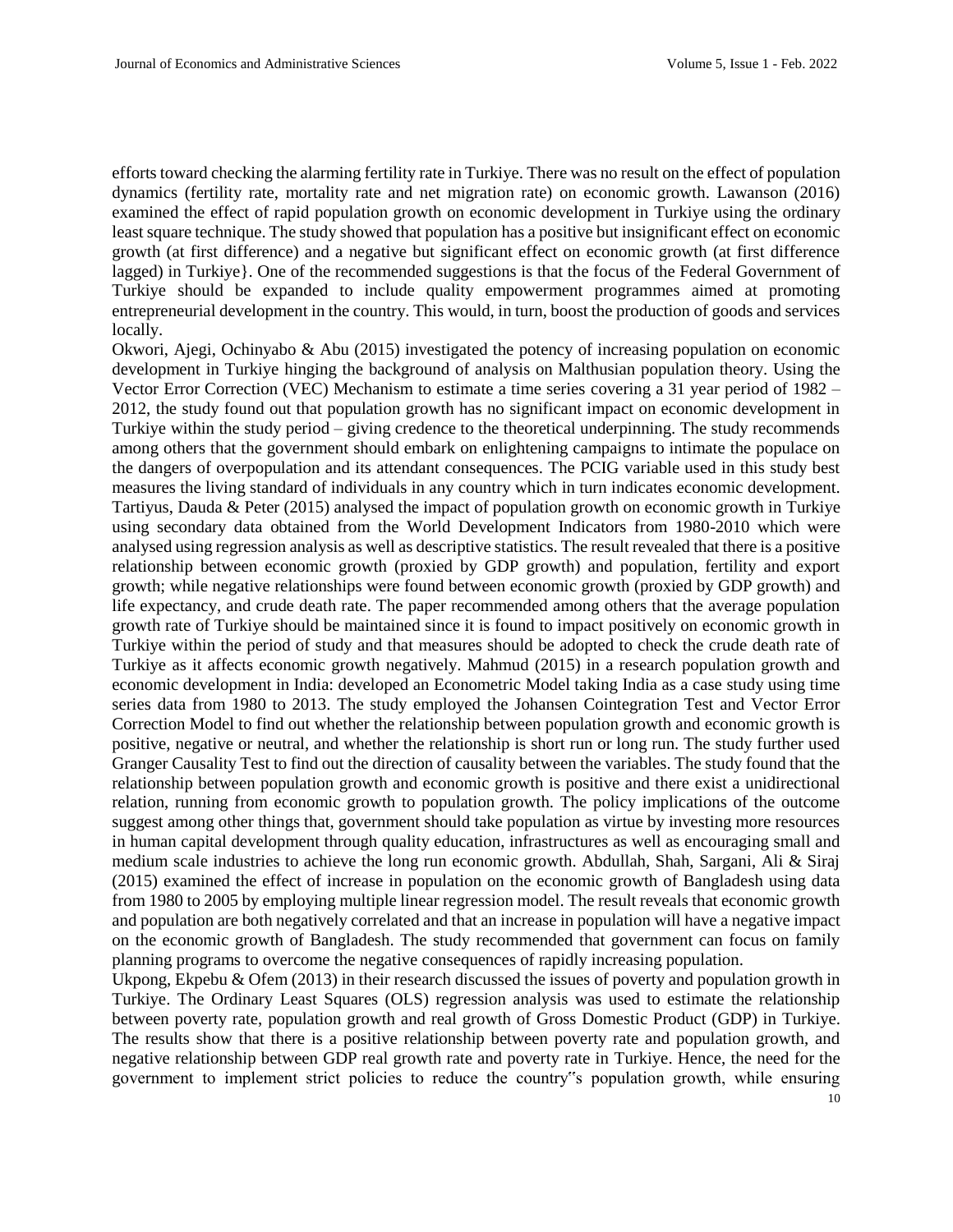efforts toward checking the alarming fertility rate in Turkiye. There was no result on the effect of population dynamics (fertility rate, mortality rate and net migration rate) on economic growth. Lawanson (2016) examined the effect of rapid population growth on economic development in Turkiye using the ordinary least square technique. The study showed that population has a positive but insignificant effect on economic growth (at first difference) and a negative but significant effect on economic growth (at first difference lagged) in Turkiye}. One of the recommended suggestions is that the focus of the Federal Government of Turkiye should be expanded to include quality empowerment programmes aimed at promoting entrepreneurial development in the country. This would, in turn, boost the production of goods and services locally.

Okwori, Ajegi, Ochinyabo & Abu (2015) investigated the potency of increasing population on economic development in Turkiye hinging the background of analysis on Malthusian population theory. Using the Vector Error Correction (VEC) Mechanism to estimate a time series covering a 31 year period of 1982 – 2012, the study found out that population growth has no significant impact on economic development in Turkiye within the study period – giving credence to the theoretical underpinning. The study recommends among others that the government should embark on enlightening campaigns to intimate the populace on the dangers of overpopulation and its attendant consequences. The PCIG variable used in this study best measures the living standard of individuals in any country which in turn indicates economic development. Tartiyus, Dauda & Peter (2015) analysed the impact of population growth on economic growth in Turkiye using secondary data obtained from the World Development Indicators from 1980-2010 which were analysed using regression analysis as well as descriptive statistics. The result revealed that there is a positive relationship between economic growth (proxied by GDP growth) and population, fertility and export growth; while negative relationships were found between economic growth (proxied by GDP growth) and life expectancy, and crude death rate. The paper recommended among others that the average population growth rate of Turkiye should be maintained since it is found to impact positively on economic growth in Turkiye within the period of study and that measures should be adopted to check the crude death rate of Turkiye as it affects economic growth negatively. Mahmud (2015) in a research population growth and economic development in India: developed an Econometric Model taking India as a case study using time series data from 1980 to 2013. The study employed the Johansen Cointegration Test and Vector Error Correction Model to find out whether the relationship between population growth and economic growth is positive, negative or neutral, and whether the relationship is short run or long run. The study further used Granger Causality Test to find out the direction of causality between the variables. The study found that the relationship between population growth and economic growth is positive and there exist a unidirectional relation, running from economic growth to population growth. The policy implications of the outcome suggest among other things that, government should take population as virtue by investing more resources in human capital development through quality education, infrastructures as well as encouraging small and medium scale industries to achieve the long run economic growth. Abdullah, Shah, Sargani, Ali & Siraj (2015) examined the effect of increase in population on the economic growth of Bangladesh using data from 1980 to 2005 by employing multiple linear regression model. The result reveals that economic growth and population are both negatively correlated and that an increase in population will have a negative impact on the economic growth of Bangladesh. The study recommended that government can focus on family planning programs to overcome the negative consequences of rapidly increasing population.

10 Ukpong, Ekpebu & Ofem (2013) in their research discussed the issues of poverty and population growth in Turkiye. The Ordinary Least Squares (OLS) regression analysis was used to estimate the relationship between poverty rate, population growth and real growth of Gross Domestic Product (GDP) in Turkiye. The results show that there is a positive relationship between poverty rate and population growth, and negative relationship between GDP real growth rate and poverty rate in Turkiye. Hence, the need for the government to implement strict policies to reduce the country"s population growth, while ensuring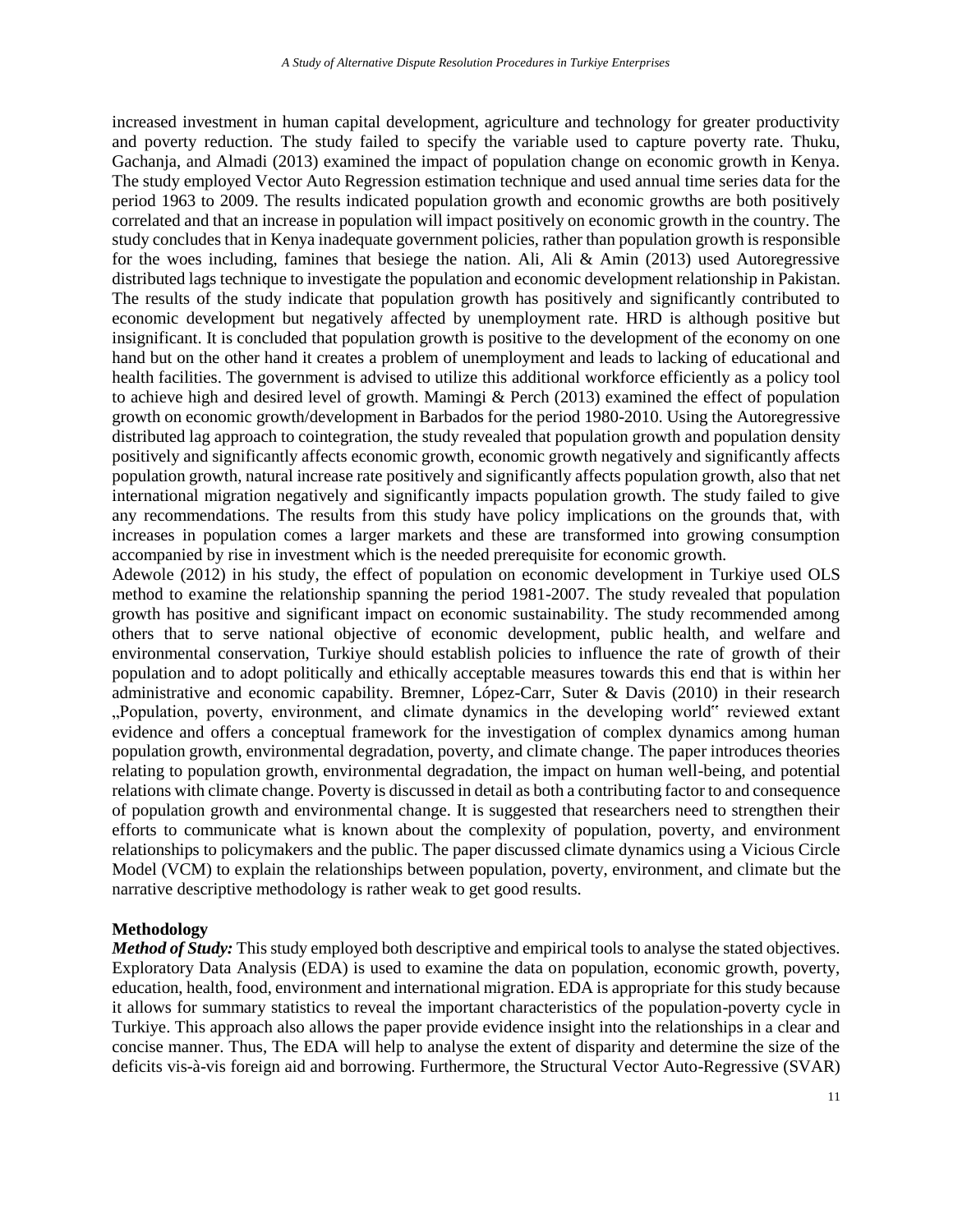increased investment in human capital development, agriculture and technology for greater productivity and poverty reduction. The study failed to specify the variable used to capture poverty rate. Thuku, Gachanja, and Almadi (2013) examined the impact of population change on economic growth in Kenya. The study employed Vector Auto Regression estimation technique and used annual time series data for the period 1963 to 2009. The results indicated population growth and economic growths are both positively correlated and that an increase in population will impact positively on economic growth in the country. The study concludes that in Kenya inadequate government policies, rather than population growth is responsible for the woes including, famines that besiege the nation. Ali, Ali & Amin (2013) used Autoregressive distributed lags technique to investigate the population and economic development relationship in Pakistan. The results of the study indicate that population growth has positively and significantly contributed to economic development but negatively affected by unemployment rate. HRD is although positive but insignificant. It is concluded that population growth is positive to the development of the economy on one hand but on the other hand it creates a problem of unemployment and leads to lacking of educational and health facilities. The government is advised to utilize this additional workforce efficiently as a policy tool to achieve high and desired level of growth. Mamingi & Perch (2013) examined the effect of population growth on economic growth/development in Barbados for the period 1980-2010. Using the Autoregressive distributed lag approach to cointegration, the study revealed that population growth and population density positively and significantly affects economic growth, economic growth negatively and significantly affects population growth, natural increase rate positively and significantly affects population growth, also that net international migration negatively and significantly impacts population growth. The study failed to give any recommendations. The results from this study have policy implications on the grounds that, with increases in population comes a larger markets and these are transformed into growing consumption accompanied by rise in investment which is the needed prerequisite for economic growth.

Adewole (2012) in his study, the effect of population on economic development in Turkiye used OLS method to examine the relationship spanning the period 1981-2007. The study revealed that population growth has positive and significant impact on economic sustainability. The study recommended among others that to serve national objective of economic development, public health, and welfare and environmental conservation, Turkiye should establish policies to influence the rate of growth of their population and to adopt politically and ethically acceptable measures towards this end that is within her administrative and economic capability. Bremner, López-Carr, Suter & Davis (2010) in their research "Population, poverty, environment, and climate dynamics in the developing world" reviewed extant evidence and offers a conceptual framework for the investigation of complex dynamics among human population growth, environmental degradation, poverty, and climate change. The paper introduces theories relating to population growth, environmental degradation, the impact on human well-being, and potential relations with climate change. Poverty is discussed in detail as both a contributing factor to and consequence of population growth and environmental change. It is suggested that researchers need to strengthen their efforts to communicate what is known about the complexity of population, poverty, and environment relationships to policymakers and the public. The paper discussed climate dynamics using a Vicious Circle Model (VCM) to explain the relationships between population, poverty, environment, and climate but the narrative descriptive methodology is rather weak to get good results.

### **Methodology**

*Method of Study:* This study employed both descriptive and empirical tools to analyse the stated objectives. Exploratory Data Analysis (EDA) is used to examine the data on population, economic growth, poverty, education, health, food, environment and international migration. EDA is appropriate for this study because it allows for summary statistics to reveal the important characteristics of the population-poverty cycle in Turkiye. This approach also allows the paper provide evidence insight into the relationships in a clear and concise manner. Thus, The EDA will help to analyse the extent of disparity and determine the size of the deficits vis-à-vis foreign aid and borrowing. Furthermore, the Structural Vector Auto-Regressive (SVAR)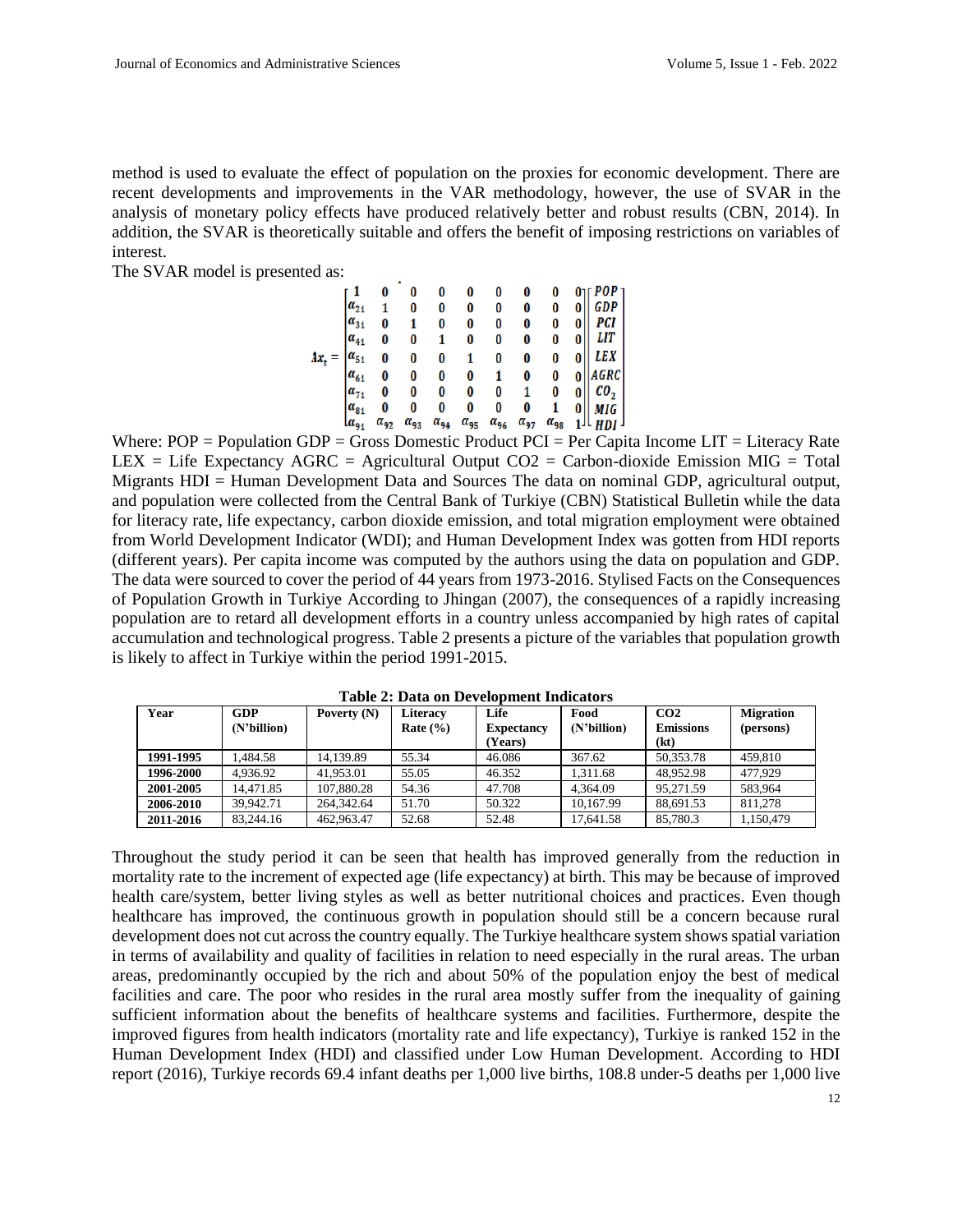method is used to evaluate the effect of population on the proxies for economic development. There are recent developments and improvements in the VAR methodology, however, the use of SVAR in the analysis of monetary policy effects have produced relatively better and robust results (CBN, 2014). In addition, the SVAR is theoretically suitable and offers the benefit of imposing restrictions on variables of interest.

The SVAR model is presented as:

|                |          | 0        |  |                                                                                                                                                                                                                                             |  |                                                                                                                                                                                                  |
|----------------|----------|----------|--|---------------------------------------------------------------------------------------------------------------------------------------------------------------------------------------------------------------------------------------------|--|--------------------------------------------------------------------------------------------------------------------------------------------------------------------------------------------------|
| $a_{21}$       |          | 0        |  |                                                                                                                                                                                                                                             |  |                                                                                                                                                                                                  |
| $a_{31}$       | 0        |          |  |                                                                                                                                                                                                                                             |  |                                                                                                                                                                                                  |
| $\alpha_{41}$  | 0        | 0        |  |                                                                                                                                                                                                                                             |  |                                                                                                                                                                                                  |
| $a_{51}$       | 0        | 0        |  | $\begin{array}{cccccc} 0 & 0 & 0 & 0 & 0 & 0 \\ 0 & 0 & 0 & 0 & 0 & 0 \\ 0 & 0 & 0 & 0 & 0 & 0 \\ 1 & 0 & 0 & 0 & 0 & 0 \\ 0 & 1 & 0 & 0 & 0 & 0 \\ 0 & 0 & 1 & 0 & 0 & 1 \\ 0 & 0 & 0 & 0 & 1 & 0 \\ 0 & 0 & 0 & 0 & 0 & 1 \\ \end{array}$ |  | $\begin{array}{c} 0 \\ 0 \\ 0 \\ 0 \\ 0 \\ 0 \\ 0 \\ 0 \\ 0 \\ 0 \\ 1 \end{array}$ $\begin{array}{c} POP \\ GDP \\ PCI \\ LIT \\ LEX \\ AGRC \\ GO_2 \\ TOL \\ HIG \\ HDI \\ HDI \\ \end{array}$ |
| $\vert a_{61}$ | 0        | 0        |  |                                                                                                                                                                                                                                             |  |                                                                                                                                                                                                  |
| $ a_{71} $     | 0        | 0        |  |                                                                                                                                                                                                                                             |  |                                                                                                                                                                                                  |
| $\alpha_{81}$  | 0        | 0        |  |                                                                                                                                                                                                                                             |  |                                                                                                                                                                                                  |
| $a_{91}$       | $a_{92}$ | $a_{93}$ |  |                                                                                                                                                                                                                                             |  |                                                                                                                                                                                                  |

Where:  $POP = Population GDP = Gross$  Domestic Product  $PCI = Per$  Capita Income LIT = Literacy Rate LEX = Life Expectancy  $AGRC =$  Agricultural Output  $CO2 =$  Carbon-dioxide Emission MIG = Total Migrants HDI = Human Development Data and Sources The data on nominal GDP, agricultural output, and population were collected from the Central Bank of Turkiye (CBN) Statistical Bulletin while the data for literacy rate, life expectancy, carbon dioxide emission, and total migration employment were obtained from World Development Indicator (WDI); and Human Development Index was gotten from HDI reports (different years). Per capita income was computed by the authors using the data on population and GDP. The data were sourced to cover the period of 44 years from 1973-2016. Stylised Facts on the Consequences of Population Growth in Turkiye According to Jhingan (2007), the consequences of a rapidly increasing population are to retard all development efforts in a country unless accompanied by high rates of capital accumulation and technological progress. Table 2 presents a picture of the variables that population growth is likely to affect in Turkiye within the period 1991-2015.

| Year      | <b>GDP</b><br>(N'billion) | Poverty $(N)$ | <b>Literacy</b><br>Rate $(\% )$ | Life<br><b>Expectancy</b> | Food<br>(N'billion) | CO <sub>2</sub><br><b>Emissions</b> | <b>Migration</b><br>(persons) |
|-----------|---------------------------|---------------|---------------------------------|---------------------------|---------------------|-------------------------------------|-------------------------------|
|           |                           |               |                                 | (Years)                   |                     | (kt)                                |                               |
| 1991-1995 | .484.58                   | 14.139.89     | 55.34                           | 46.086                    | 367.62              | 50.353.78                           | 459.810                       |
| 1996-2000 | 4.936.92                  | 41.953.01     | 55.05                           | 46.352                    | 1.311.68            | 48.952.98                           | 477.929                       |
| 2001-2005 | 14.471.85                 | 107,880.28    | 54.36                           | 47.708                    | 4.364.09            | 95.271.59                           | 583.964                       |
| 2006-2010 | 39.942.71                 | 264,342.64    | 51.70                           | 50.322                    | 10.167.99           | 88.691.53                           | 811.278                       |
| 2011-2016 | 83,244.16                 | 462.963.47    | 52.68                           | 52.48                     | 17.641.58           | 85,780.3                            | 1,150,479                     |

**Table 2: Data on Development Indicators**

Throughout the study period it can be seen that health has improved generally from the reduction in mortality rate to the increment of expected age (life expectancy) at birth. This may be because of improved health care/system, better living styles as well as better nutritional choices and practices. Even though healthcare has improved, the continuous growth in population should still be a concern because rural development does not cut across the country equally. The Turkiye healthcare system shows spatial variation in terms of availability and quality of facilities in relation to need especially in the rural areas. The urban areas, predominantly occupied by the rich and about 50% of the population enjoy the best of medical facilities and care. The poor who resides in the rural area mostly suffer from the inequality of gaining sufficient information about the benefits of healthcare systems and facilities. Furthermore, despite the improved figures from health indicators (mortality rate and life expectancy), Turkiye is ranked 152 in the Human Development Index (HDI) and classified under Low Human Development. According to HDI report (2016), Turkiye records 69.4 infant deaths per 1,000 live births, 108.8 under-5 deaths per 1,000 live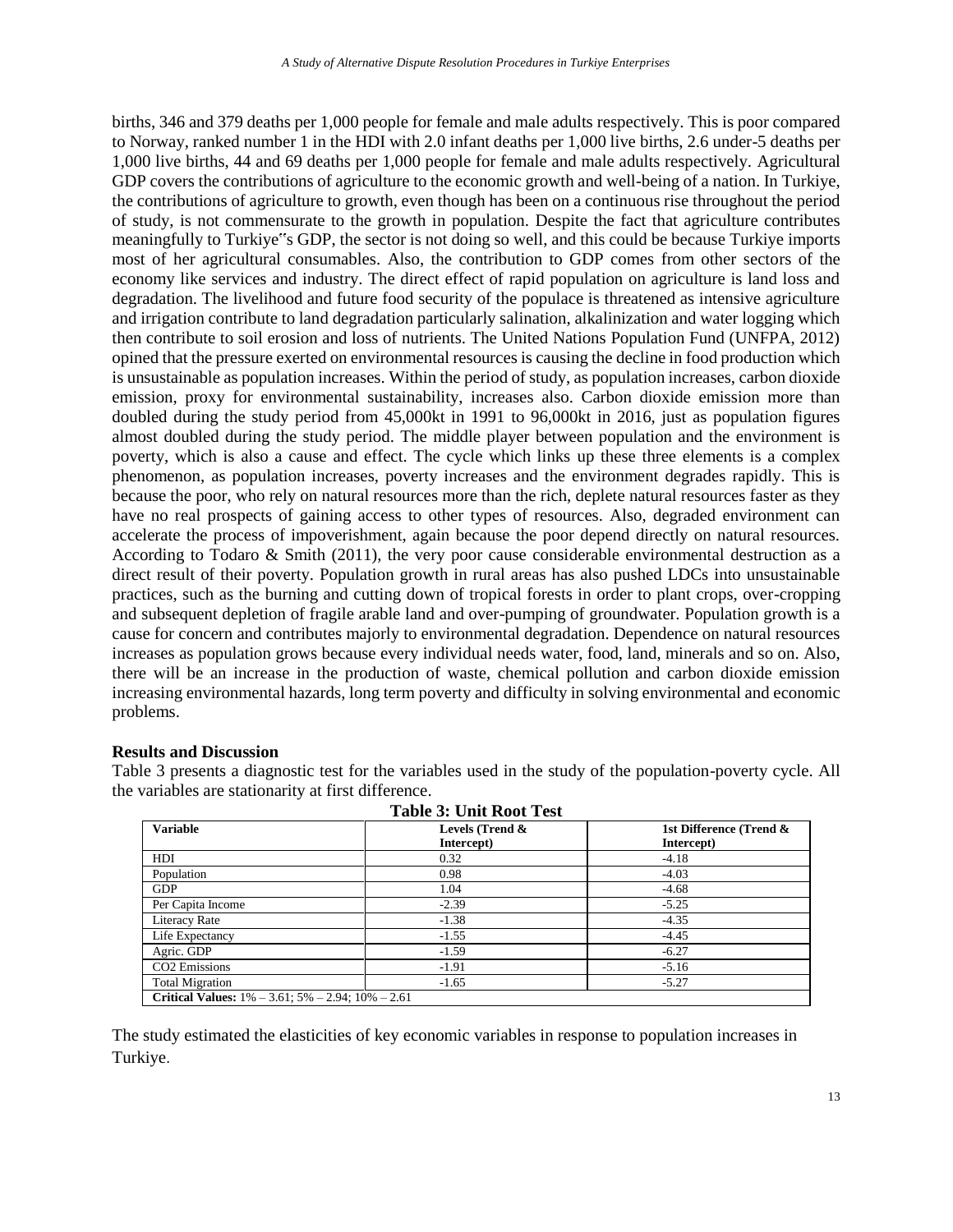births, 346 and 379 deaths per 1,000 people for female and male adults respectively. This is poor compared to Norway, ranked number 1 in the HDI with 2.0 infant deaths per 1,000 live births, 2.6 under-5 deaths per 1,000 live births, 44 and 69 deaths per 1,000 people for female and male adults respectively. Agricultural GDP covers the contributions of agriculture to the economic growth and well-being of a nation. In Turkiye, the contributions of agriculture to growth, even though has been on a continuous rise throughout the period of study, is not commensurate to the growth in population. Despite the fact that agriculture contributes meaningfully to Turkiye"s GDP, the sector is not doing so well, and this could be because Turkiye imports most of her agricultural consumables. Also, the contribution to GDP comes from other sectors of the economy like services and industry. The direct effect of rapid population on agriculture is land loss and degradation. The livelihood and future food security of the populace is threatened as intensive agriculture and irrigation contribute to land degradation particularly salination, alkalinization and water logging which then contribute to soil erosion and loss of nutrients. The United Nations Population Fund (UNFPA, 2012) opined that the pressure exerted on environmental resources is causing the decline in food production which is unsustainable as population increases. Within the period of study, as population increases, carbon dioxide emission, proxy for environmental sustainability, increases also. Carbon dioxide emission more than doubled during the study period from 45,000kt in 1991 to 96,000kt in 2016, just as population figures almost doubled during the study period. The middle player between population and the environment is poverty, which is also a cause and effect. The cycle which links up these three elements is a complex phenomenon, as population increases, poverty increases and the environment degrades rapidly. This is because the poor, who rely on natural resources more than the rich, deplete natural resources faster as they have no real prospects of gaining access to other types of resources. Also, degraded environment can accelerate the process of impoverishment, again because the poor depend directly on natural resources. According to Todaro & Smith (2011), the very poor cause considerable environmental destruction as a direct result of their poverty. Population growth in rural areas has also pushed LDCs into unsustainable practices, such as the burning and cutting down of tropical forests in order to plant crops, over-cropping and subsequent depletion of fragile arable land and over-pumping of groundwater. Population growth is a cause for concern and contributes majorly to environmental degradation. Dependence on natural resources increases as population grows because every individual needs water, food, land, minerals and so on. Also, there will be an increase in the production of waste, chemical pollution and carbon dioxide emission increasing environmental hazards, long term poverty and difficulty in solving environmental and economic problems.

#### **Results and Discussion**

Table 3 presents a diagnostic test for the variables used in the study of the population-poverty cycle. All the variables are stationarity at first difference.

| <b>Table 3: Unit Root Test</b>                               |                 |                         |  |
|--------------------------------------------------------------|-----------------|-------------------------|--|
| <b>Variable</b>                                              | Levels (Trend & | 1st Difference (Trend & |  |
|                                                              | Intercept)      | Intercept)              |  |
| HDI                                                          | 0.32            | $-4.18$                 |  |
| Population                                                   | 0.98            | $-4.03$                 |  |
| <b>GDP</b>                                                   | 1.04            | $-4.68$                 |  |
| Per Capita Income                                            | $-2.39$         | $-5.25$                 |  |
| Literacy Rate                                                | $-1.38$         | $-4.35$                 |  |
| Life Expectancy                                              | $-1.55$         | $-4.45$                 |  |
| Agric. GDP                                                   | $-1.59$         | $-6.27$                 |  |
| CO2 Emissions                                                | $-1.91$         | $-5.16$                 |  |
| <b>Total Migration</b>                                       | $-1.65$         | $-5.27$                 |  |
| Critical Values: $1\% - 3.61$ ; $5\% - 2.94$ ; $10\% - 2.61$ |                 |                         |  |

The study estimated the elasticities of key economic variables in response to population increases in Turkiye.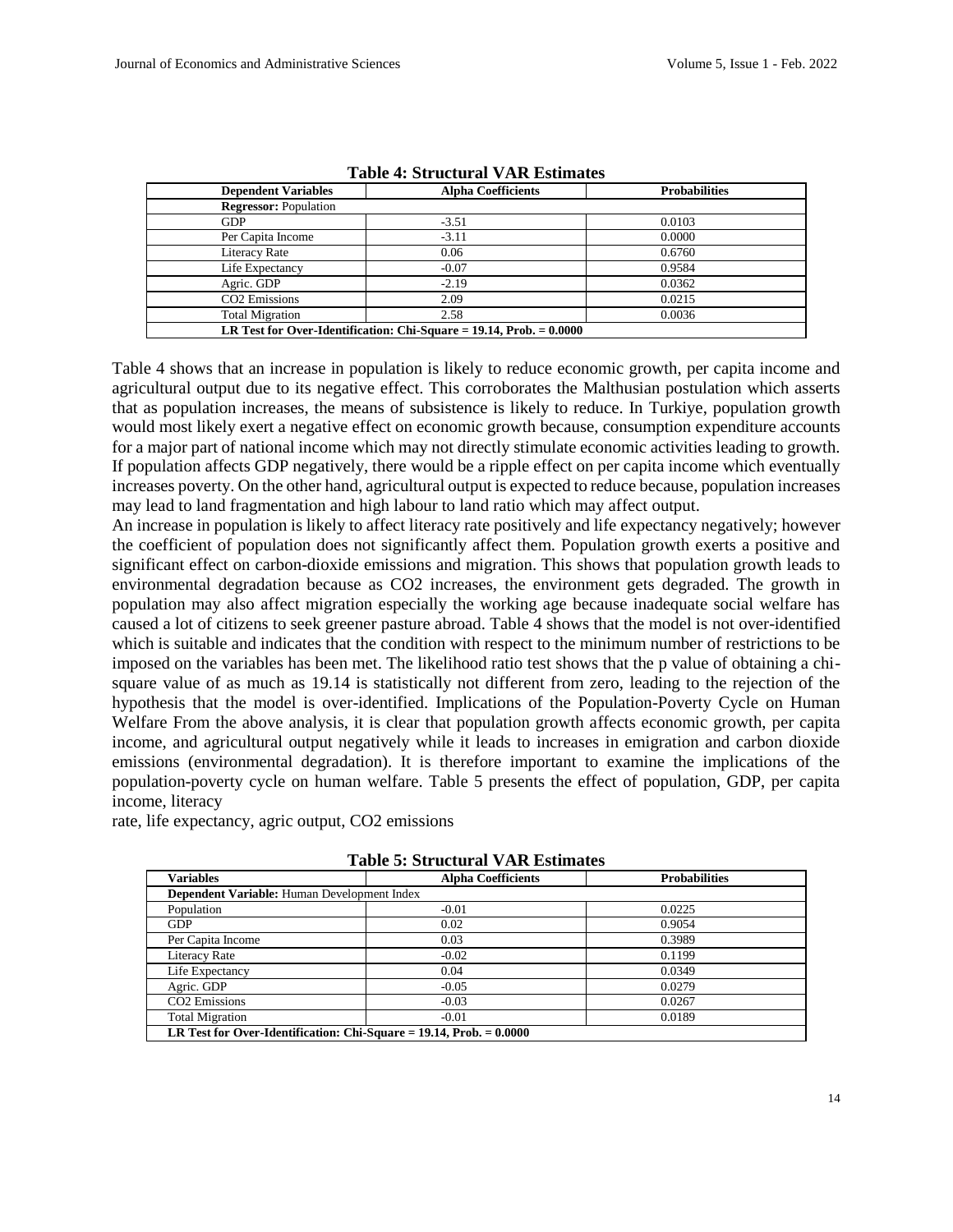| <b>Dependent Variables</b>                                               | <b>Alpha Coefficients</b> | <b>Probabilities</b> |  |  |
|--------------------------------------------------------------------------|---------------------------|----------------------|--|--|
| <b>Regressor: Population</b>                                             |                           |                      |  |  |
| <b>GDP</b>                                                               | $-3.51$                   | 0.0103               |  |  |
| Per Capita Income                                                        | $-3.11$                   | 0.0000               |  |  |
| <b>Literacy Rate</b>                                                     | 0.06                      | 0.6760               |  |  |
| Life Expectancy                                                          | $-0.07$                   | 0.9584               |  |  |
| Agric. GDP                                                               | $-2.19$                   | 0.0362               |  |  |
| CO <sub>2</sub> Emissions                                                | 2.09                      | 0.0215               |  |  |
| <b>Total Migration</b>                                                   | 2.58                      | 0.0036               |  |  |
| LR Test for Over-Identification: Chi-Square $= 19.14$ , Prob. $= 0.0000$ |                           |                      |  |  |

**Table 4: Structural VAR Estimates**

Table 4 shows that an increase in population is likely to reduce economic growth, per capita income and agricultural output due to its negative effect. This corroborates the Malthusian postulation which asserts that as population increases, the means of subsistence is likely to reduce. In Turkiye, population growth would most likely exert a negative effect on economic growth because, consumption expenditure accounts for a major part of national income which may not directly stimulate economic activities leading to growth. If population affects GDP negatively, there would be a ripple effect on per capita income which eventually increases poverty. On the other hand, agricultural output is expected to reduce because, population increases may lead to land fragmentation and high labour to land ratio which may affect output.

An increase in population is likely to affect literacy rate positively and life expectancy negatively; however the coefficient of population does not significantly affect them. Population growth exerts a positive and significant effect on carbon-dioxide emissions and migration. This shows that population growth leads to environmental degradation because as CO2 increases, the environment gets degraded. The growth in population may also affect migration especially the working age because inadequate social welfare has caused a lot of citizens to seek greener pasture abroad. Table 4 shows that the model is not over-identified which is suitable and indicates that the condition with respect to the minimum number of restrictions to be imposed on the variables has been met. The likelihood ratio test shows that the p value of obtaining a chisquare value of as much as 19.14 is statistically not different from zero, leading to the rejection of the hypothesis that the model is over-identified. Implications of the Population-Poverty Cycle on Human Welfare From the above analysis, it is clear that population growth affects economic growth, per capita income, and agricultural output negatively while it leads to increases in emigration and carbon dioxide emissions (environmental degradation). It is therefore important to examine the implications of the population-poverty cycle on human welfare. Table 5 presents the effect of population, GDP, per capita income, literacy

rate, life expectancy, agric output, CO2 emissions

| Table 9. Bu uctui ar y Aix Estimates                                     |                           |                      |  |  |  |
|--------------------------------------------------------------------------|---------------------------|----------------------|--|--|--|
| <b>Variables</b>                                                         | <b>Alpha Coefficients</b> | <b>Probabilities</b> |  |  |  |
| Dependent Variable: Human Development Index                              |                           |                      |  |  |  |
| Population                                                               | $-0.01$                   | 0.0225               |  |  |  |
| <b>GDP</b>                                                               | 0.02                      | 0.9054               |  |  |  |
| Per Capita Income                                                        | 0.03                      | 0.3989               |  |  |  |
| <b>Literacy Rate</b>                                                     | $-0.02$                   | 0.1199               |  |  |  |
| Life Expectancy                                                          | 0.04                      | 0.0349               |  |  |  |
| Agric. GDP                                                               | $-0.05$                   | 0.0279               |  |  |  |
| CO <sub>2</sub> Emissions                                                | $-0.03$                   | 0.0267               |  |  |  |
| <b>Total Migration</b>                                                   | $-0.01$                   | 0.0189               |  |  |  |
| LR Test for Over-Identification: Chi-Square = $19.14$ , Prob. = $0.0000$ |                           |                      |  |  |  |

**Table 5: Structural VAR Estimates**